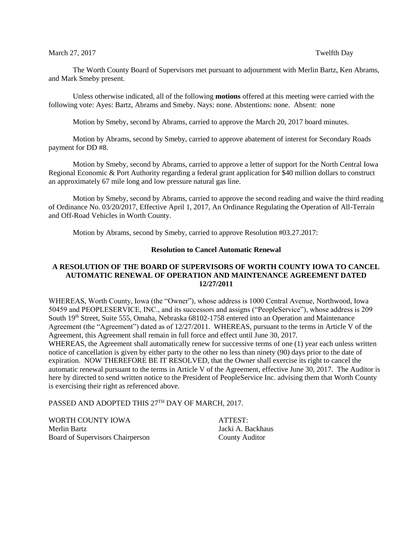## March 27, 2017 **Twelfth Day**

The Worth County Board of Supervisors met pursuant to adjournment with Merlin Bartz, Ken Abrams, and Mark Smeby present.

Unless otherwise indicated, all of the following **motions** offered at this meeting were carried with the following vote: Ayes: Bartz, Abrams and Smeby. Nays: none. Abstentions: none. Absent: none

Motion by Smeby, second by Abrams, carried to approve the March 20, 2017 board minutes.

Motion by Abrams, second by Smeby, carried to approve abatement of interest for Secondary Roads payment for DD #8.

Motion by Smeby, second by Abrams, carried to approve a letter of support for the North Central Iowa Regional Economic & Port Authority regarding a federal grant application for \$40 million dollars to construct an approximately 67 mile long and low pressure natural gas line.

Motion by Smeby, second by Abrams, carried to approve the second reading and waive the third reading of Ordinance No. 03/20/2017, Effective April 1, 2017, An Ordinance Regulating the Operation of All-Terrain and Off-Road Vehicles in Worth County.

Motion by Abrams, second by Smeby, carried to approve Resolution #03.27.2017:

# **Resolution to Cancel Automatic Renewal**

# **A RESOLUTION OF THE BOARD OF SUPERVISORS OF WORTH COUNTY IOWA TO CANCEL AUTOMATIC RENEWAL OF OPERATION AND MAINTENANCE AGREEMENT DATED 12/27/2011**

WHEREAS, Worth County, Iowa (the "Owner"), whose address is 1000 Central Avenue, Northwood, Iowa 50459 and PEOPLESERVICE, INC., and its successors and assigns ("PeopleService"), whose address is 209 South 19th Street, Suite 555, Omaha, Nebraska 68102-1758 entered into an Operation and Maintenance Agreement (the "Agreement") dated as of 12/27/2011. WHEREAS, pursuant to the terms in Article V of the Agreement, this Agreement shall remain in full force and effect until June 30, 2017. WHEREAS, the Agreement shall automatically renew for successive terms of one (1) year each unless written notice of cancellation is given by either party to the other no less than ninety (90) days prior to the date of expiration. NOW THEREFORE BE IT RESOLVED, that the Owner shall exercise its right to cancel the automatic renewal pursuant to the terms in Article V of the Agreement, effective June 30, 2017. The Auditor is here by directed to send written notice to the President of PeopleService Inc. advising them that Worth County is exercising their right as referenced above.

PASSED AND ADOPTED THIS 27TH DAY OF MARCH, 2017.

WORTH COUNTY IOWA ATTEST: Merlin Bartz **International Community** Section 1 and March 1 and March 1 and March 1 and March 1 and March 1 and March 1 and March 1 and March 1 and March 1 and March 1 and March 1 and March 1 and March 1 and March 1 and M Board of Supervisors Chairperson County Auditor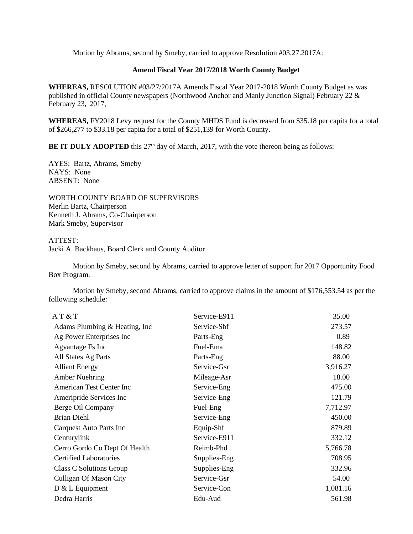Motion by Abrams, second by Smeby, carried to approve Resolution #03.27.2017A:

# **Amend Fiscal Year 2017/2018 Worth County Budget**

**WHEREAS,** RESOLUTION #03/27/2017A Amends Fiscal Year 2017-2018 Worth County Budget as was published in official County newspapers (Northwood Anchor and Manly Junction Signal) February 22 & February 23, 2017,

**WHEREAS,** FY2018 Levy request for the County MHDS Fund is decreased from \$35.18 per capita for a total of \$266,277 to \$33.18 per capita for a total of \$251,139 for Worth County.

**BE IT DULY ADOPTED** this  $27<sup>th</sup>$  day of March, 2017, with the vote thereon being as follows:

AYES: Bartz, Abrams, Smeby NAYS: None ABSENT: None

WORTH COUNTY BOARD OF SUPERVISORS Merlin Bartz, Chairperson Kenneth J. Abrams, Co-Chairperson Mark Smeby, Supervisor

## ATTEST:

Jacki A. Backhaus, Board Clerk and County Auditor

Motion by Smeby, second by Abrams, carried to approve letter of support for 2017 Opportunity Food Box Program.

Motion by Smeby, second Abrams, carried to approve claims in the amount of \$176,553.54 as per the following schedule:

| AT & T                         | Service-E911 | 35.00    |
|--------------------------------|--------------|----------|
| Adams Plumbing & Heating, Inc. | Service-Shf  | 273.57   |
| Ag Power Enterprises Inc       | Parts-Eng    | 0.89     |
| <b>Agvantage Fs Inc</b>        | Fuel-Ema     | 148.82   |
| All States Ag Parts            | Parts-Eng    | 88.00    |
| <b>Alliant Energy</b>          | Service-Gsr  | 3,916.27 |
| <b>Amber Nuehring</b>          | Mileage-Asr  | 18.00    |
| American Test Center Inc       | Service-Eng  | 475.00   |
| Ameripride Services Inc        | Service-Eng  | 121.79   |
| Berge Oil Company              | Fuel-Eng     | 7,712.97 |
| <b>Brian Diehl</b>             | Service-Eng  | 450.00   |
| Carquest Auto Parts Inc        | Equip-Shf    | 879.89   |
| Centurylink                    | Service-E911 | 332.12   |
| Cerro Gordo Co Dept Of Health  | Reimb-Phd    | 5,766.78 |
| <b>Certified Laboratories</b>  | Supplies-Eng | 708.95   |
| Class C Solutions Group        | Supplies-Eng | 332.96   |
| <b>Culligan Of Mason City</b>  | Service-Gsr  | 54.00    |
| $D & L$ Equipment              | Service-Con  | 1,081.16 |
| Dedra Harris                   | Edu-Aud      | 561.98   |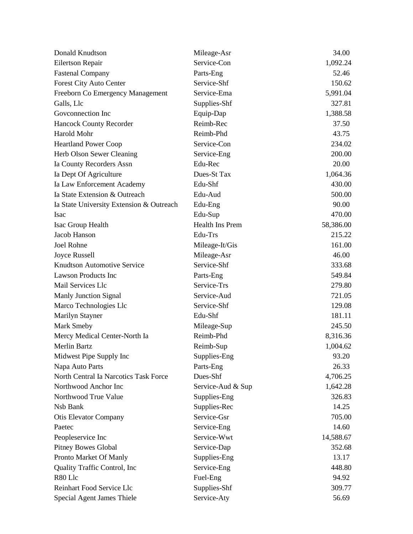| Donald Knudtson                          | Mileage-Asr       | 34.00     |
|------------------------------------------|-------------------|-----------|
| Eilertson Repair                         | Service-Con       | 1,092.24  |
| <b>Fastenal Company</b>                  | Parts-Eng         | 52.46     |
| Forest City Auto Center                  | Service-Shf       | 150.62    |
| Freeborn Co Emergency Management         | Service-Ema       | 5,991.04  |
| Galls, Llc                               | Supplies-Shf      | 327.81    |
| Goveonnection Inc                        | Equip-Dap         | 1,388.58  |
| <b>Hancock County Recorder</b>           | Reimb-Rec         | 37.50     |
| Harold Mohr                              | Reimb-Phd         | 43.75     |
| <b>Heartland Power Coop</b>              | Service-Con       | 234.02    |
| Herb Olson Sewer Cleaning                | Service-Eng       | 200.00    |
| Ia County Recorders Assn                 | Edu-Rec           | 20.00     |
| Ia Dept Of Agriculture                   | Dues-St Tax       | 1,064.36  |
| Ia Law Enforcement Academy               | Edu-Shf           | 430.00    |
| Ia State Extension & Outreach            | Edu-Aud           | 500.00    |
| Ia State University Extension & Outreach | Edu-Eng           | 90.00     |
| <b>Isac</b>                              | Edu-Sup           | 470.00    |
| Isac Group Health                        | Health Ins Prem   | 58,386.00 |
| Jacob Hanson                             | Edu-Trs           | 215.22    |
| <b>Joel Rohne</b>                        | Mileage-It/Gis    | 161.00    |
| Joyce Russell                            | Mileage-Asr       | 46.00     |
| Knudtson Automotive Service              | Service-Shf       | 333.68    |
| <b>Lawson Products Inc</b>               | Parts-Eng         | 549.84    |
| Mail Services Llc                        | Service-Trs       | 279.80    |
| Manly Junction Signal                    | Service-Aud       | 721.05    |
| Marco Technologies Llc                   | Service-Shf       | 129.08    |
| Marilyn Stayner                          | Edu-Shf           | 181.11    |
| Mark Smeby                               | Mileage-Sup       | 245.50    |
| Mercy Medical Center-North Ia            | Reimb-Phd         | 8,316.36  |
| <b>Merlin Bartz</b>                      | Reimb-Sup         | 1,004.62  |
| Midwest Pipe Supply Inc                  | Supplies-Eng      | 93.20     |
| Napa Auto Parts                          | Parts-Eng         | 26.33     |
| North Central Ia Narcotics Task Force    | Dues-Shf          | 4,706.25  |
| Northwood Anchor Inc                     | Service-Aud & Sup | 1,642.28  |
| Northwood True Value                     | Supplies-Eng      | 326.83    |
| Nsb Bank                                 | Supplies-Rec      | 14.25     |
| <b>Otis Elevator Company</b>             | Service-Gsr       | 705.00    |
| Paetec                                   | Service-Eng       | 14.60     |
| Peopleservice Inc                        | Service-Wwt       | 14,588.67 |
| <b>Pitney Bowes Global</b>               | Service-Dap       | 352.68    |
| Pronto Market Of Manly                   | Supplies-Eng      | 13.17     |
| Quality Traffic Control, Inc             | Service-Eng       | 448.80    |
| R80 Llc                                  | Fuel-Eng          | 94.92     |
| Reinhart Food Service Llc                | Supplies-Shf      | 309.77    |
| Special Agent James Thiele               | Service-Aty       | 56.69     |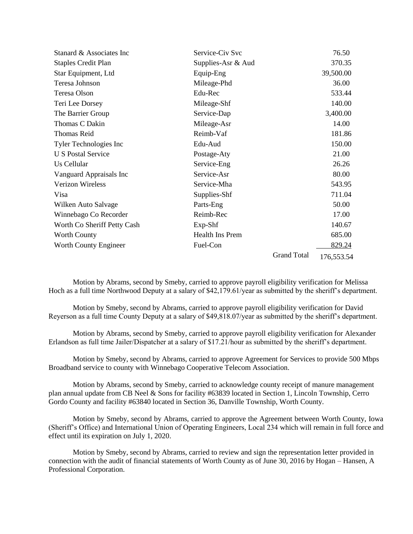| Stanard & Associates Inc    | Service-Civ Svc        |                    | 76.50      |
|-----------------------------|------------------------|--------------------|------------|
| <b>Staples Credit Plan</b>  | Supplies-Asr & Aud     |                    | 370.35     |
| Star Equipment, Ltd         | Equip-Eng              |                    | 39,500.00  |
| Teresa Johnson              | Mileage-Phd            |                    | 36.00      |
| Teresa Olson                | Edu-Rec                |                    | 533.44     |
| Teri Lee Dorsey             | Mileage-Shf            |                    | 140.00     |
| The Barrier Group           | Service-Dap            |                    | 3,400.00   |
| Thomas C Dakin              | Mileage-Asr            |                    | 14.00      |
| <b>Thomas Reid</b>          | Reimb-Vaf              |                    | 181.86     |
| Tyler Technologies Inc      | Edu-Aud                |                    | 150.00     |
| <b>U S Postal Service</b>   | Postage-Aty            |                    | 21.00      |
| Us Cellular                 | Service-Eng            |                    | 26.26      |
| Vanguard Appraisals Inc     | Service-Asr            |                    | 80.00      |
| <b>Verizon Wireless</b>     | Service-Mha            |                    | 543.95     |
| Visa                        | Supplies-Shf           |                    | 711.04     |
| Wilken Auto Salvage         | Parts-Eng              |                    | 50.00      |
| Winnebago Co Recorder       | Reimb-Rec              |                    | 17.00      |
| Worth Co Sheriff Petty Cash | $Exp-Shf$              |                    | 140.67     |
| <b>Worth County</b>         | <b>Health Ins Prem</b> |                    | 685.00     |
| Worth County Engineer       | Fuel-Con               |                    | 829.24     |
|                             |                        | <b>Grand Total</b> | 176,553.54 |

Motion by Abrams, second by Smeby, carried to approve payroll eligibility verification for Melissa Hoch as a full time Northwood Deputy at a salary of \$42,179.61/year as submitted by the sheriff's department.

Motion by Smeby, second by Abrams, carried to approve payroll eligibility verification for David Reyerson as a full time County Deputy at a salary of \$49,818.07/year as submitted by the sheriff's department.

Motion by Abrams, second by Smeby, carried to approve payroll eligibility verification for Alexander Erlandson as full time Jailer/Dispatcher at a salary of \$17.21/hour as submitted by the sheriff's department.

Motion by Smeby, second by Abrams, carried to approve Agreement for Services to provide 500 Mbps Broadband service to county with Winnebago Cooperative Telecom Association.

Motion by Abrams, second by Smeby, carried to acknowledge county receipt of manure management plan annual update from CB Neel & Sons for facility #63839 located in Section 1, Lincoln Township, Cerro Gordo County and facility #63840 located in Section 36, Danville Township, Worth County.

Motion by Smeby, second by Abrams, carried to approve the Agreement between Worth County, Iowa (Sheriff's Office) and International Union of Operating Engineers, Local 234 which will remain in full force and effect until its expiration on July 1, 2020.

Motion by Smeby, second by Abrams, carried to review and sign the representation letter provided in connection with the audit of financial statements of Worth County as of June 30, 2016 by Hogan – Hansen, A Professional Corporation.